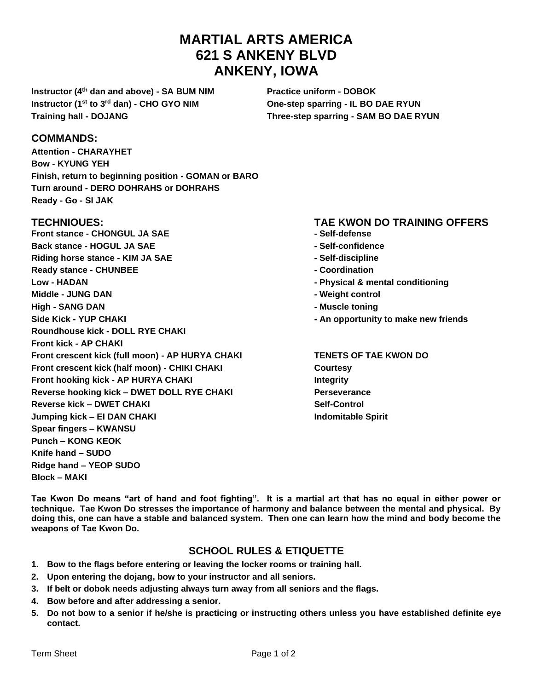# **MARTIAL ARTS AMERICA 621 S ANKENY BLVD ANKENY, IOWA**

**Instructor (4th dan and above) - SA BUM NIM Practice uniform - DOBOK Instructor (1st to 3rd dan) - CHO GYO NIM One-step sparring - IL BO DAE RYUN Training hall - DOJANG Three-step sparring - SAM BO DAE RYUN**

#### **COMMANDS:**

**Attention - CHARAYHET Bow - KYUNG YEH Finish, return to beginning position - GOMAN or BARO Turn around - DERO DOHRAHS or DOHRAHS Ready - Go - SI JAK**

**Front stance - CHONGUL JA SAE - Self-defense Back stance - HOGUL JA SAE - Self-confidence Riding horse stance - KIM JA SAE - Self-discipline Ready stance - CHUNBEE - Coordination Low - HADAN - Physical & mental conditioning Middle - JUNG DAN - Weight control High - SANG DAN - Muscle toning Side Kick - YUP CHAKI - An opportunity to make new friends Roundhouse kick - DOLL RYE CHAKI Front kick - AP CHAKI Front crescent kick (full moon) - AP HURYA CHAKI TENETS OF TAE KWON DO Front crescent kick (half moon) - CHIKI CHAKI Courtesy Front hooking kick - AP HURYA CHAKI Integrity Reverse hooking kick – DWET DOLL RYE CHAKI Perseverance Reverse kick – DWET CHAKI Self-Control Jumping kick – EI DAN CHAKI Indomitable Spirit Spear fingers – KWANSU Punch – KONG KEOK Knife hand – SUDO Ridge hand – YEOP SUDO Block – MAKI**

#### **TECHNIQUES: TAE KWON DO TRAINING OFFERS**

- 
- 
- 
- 
- 
- 
- 
- 

**Tae Kwon Do means "art of hand and foot fighting". It is a martial art that has no equal in either power or technique. Tae Kwon Do stresses the importance of harmony and balance between the mental and physical. By doing this, one can have a stable and balanced system. Then one can learn how the mind and body become the weapons of Tae Kwon Do.**

### **SCHOOL RULES & ETIQUETTE**

- **1. Bow to the flags before entering or leaving the locker rooms or training hall.**
- **2. Upon entering the dojang, bow to your instructor and all seniors.**
- **3. If belt or dobok needs adjusting always turn away from all seniors and the flags.**
- **4. Bow before and after addressing a senior.**
- **5. Do not bow to a senior if he/she is practicing or instructing others unless you have established definite eye contact.**